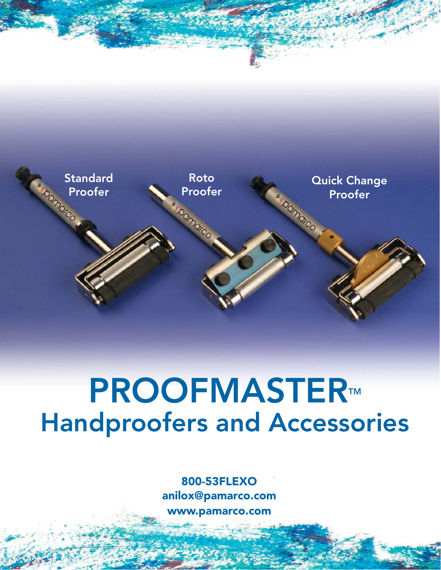

# PROOFMASTER™ Handproofers and Accessories

800-53FLEXO anilox@pamarco.com www.pamarco.com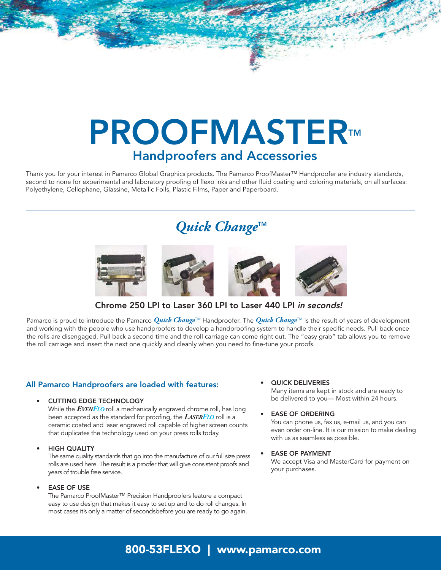# PROOFMASTER™ Handproofers and Accessories

Thank you for your interest in Pamarco Global Graphics products. The Pamarco ProofMaster™ Handproofer are industry standards, second to none for experimental and laboratory proofing of flexo inks and other fluid coating and coloring materials, on all surfaces: Polyethylene, Cellophane, Glassine, Metallic Foils, Plastic Films, Paper and Paperboard.

# Quick Change<sup>™</sup>



Chrome 250 LPI to Laser 360 LPI to Laser 440 LPI in seconds!

Pamarco is proud to introduce the Pamarco *Quick Change*TM Handproofer. The *Quick Change*TM is the result of years of development and working with the people who use handproofers to develop a handproofing system to handle their specific needs. Pull back once the rolls are disengaged. Pull back a second time and the roll carriage can come right out. The "easy grab" tab allows you to remove the roll carriage and insert the next one quickly and cleanly when you need to fine-tune your proofs.

### All Pamarco Handproofers are loaded with features:

#### • CUTTING EDGE TECHNOLOGY

While the *EVENFLO* roll a mechanically engraved chrome roll, has long been accepted as the standard for proofing, the *LASERFLO* roll is a ceramic coated and laser engraved roll capable of higher screen counts that duplicates the technology used on your press rolls today.

#### **HIGH QUALITY**

The same quality standards that go into the manufacture of our full size press rolls are used here. The result is a proofer that will give consistent proofs and years of trouble free service.

#### **EASE OF USE**

The Pamarco ProofMaster™ Precision Handproofers feature a compact easy to use design that makes it easy to set up and to do roll changes. In most cases it's only a matter of secondsbefore you are ready to go again.

### • QUICK DELIVERIES

Many items are kept in stock and are ready to be delivered to you— Most within 24 hours.

#### • EASE OF ORDERING

You can phone us, fax us, e-mail us, and you can even order on-line. It is our mission to make dealing with us as seamless as possible.

#### **EASE OF PAYMENT**

We accept Visa and MasterCard for payment on your purchases.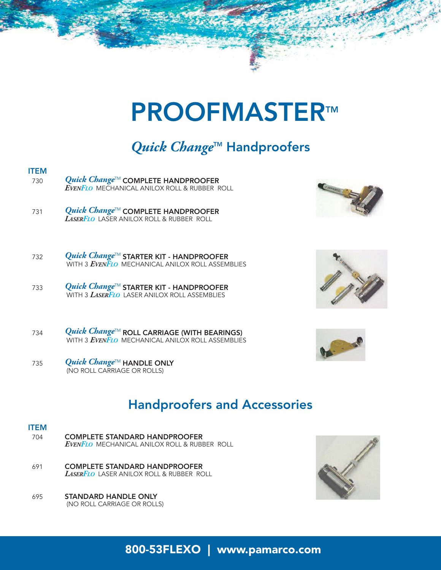# Quick Change<sup>™</sup> Handproofers

- ITEM <sup>730</sup> *Quick Change*TM COMPLETE HANDPROOFER *EVENFLO* MECHANICAL ANILOX ROLL & RUBBER ROLL
- <sup>731</sup> *Quick Change*TM COMPLETE HANDPROOFER *LASERFLO* LASER ANILOX ROLL & RUBBER ROLL
- <sup>732</sup> *Quick Change*TM STARTER KIT HANDPROOFER WITH 3 *EVENFLO* MECHANICAL ANILOX ROLL ASSEMBLIES
- <sup>733</sup> *Quick Change*TM STARTER KIT HANDPROOFER WITH 3 *LASERFLO* LASER ANILOX ROLL ASSEMBLIES
- <sup>734</sup> *Quick Change*TM ROLL CARRIAGE (WITH BEARINGS) WITH 3 *EVENFLO* MECHANICAL ANILOX ROLL ASSEMBLIES
- <sup>735</sup> *Quick Change*TM HANDLE ONLY (NO ROLL CARRIAGE OR ROLLS)

## Handproofers and Accessories

- ITEM 704 COMPLETE STANDARD HANDPROOFER *EVENFLO* MECHANICAL ANILOX ROLL & RUBBER ROLL
- 691 COMPLETE STANDARD HANDPROOFER *LASERFLO* LASER ANILOX ROLL & RUBBER ROLL
- 695 STANDARD HANDLE ONLY (NO ROLL CARRIAGE OR ROLLS)







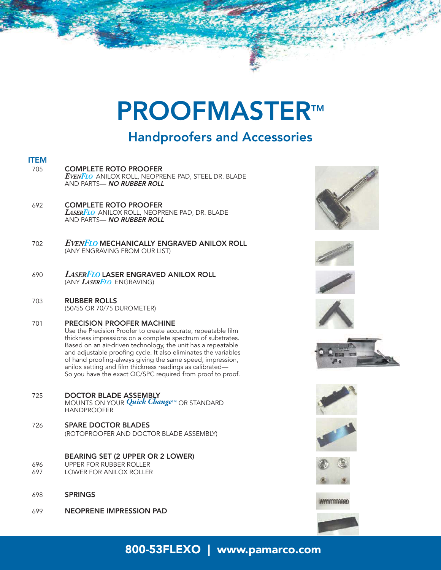## Handproofers and Accessories

### ITEM

- 705 COMPLETE ROTO PROOFER *EVENFLO* ANILOX ROLL, NEOPRENE PAD, STEEL DR. BLADE AND PARTS- NO RUBBER ROLL
- 692 COMPLETE ROTO PROOFER *LASERFLO* ANILOX ROLL, NEOPRENE PAD, DR. BLADE AND PARTS- NO RUBBER ROLL
- <sup>702</sup> *EVENFLO* MECHANICALLY ENGRAVED ANILOX ROLL (ANY ENGRAVING FROM OUR LIST)
- <sup>690</sup> *LASERFLO* LASER ENGRAVED ANILOX ROLL (ANY *LASERFLO* ENGRAVING)
- 703 RUBBER ROLLS (50/55 OR 70/75 DUROMETER)
- 701 PRECISION PROOFER MACHINE Use the Precision Proofer to create accurate, repeatable film thickness impressions on a complete spectrum of substrates. Based on an air-driven technology, the unit has a repeatable and adjustable proofing cycle. It also eliminates the variables of hand proofing-always giving the same speed, impression, anilox setting and film thickness readings as calibrated— So you have the exact QC/SPC required from proof to proof.
- 725 DOCTOR BLADE ASSEMBLY MOUNTS ON YOUR *Quick Change*TM OR STANDARD HANDPROOFER
- 726 SPARE DOCTOR BLADES (ROTOPROOFER AND DOCTOR BLADE ASSEMBLY)

### BEARING SET (2 UPPER OR 2 LOWER)

- 696 UPPER FOR RUBBER ROLLER<br>697 OWER FOR ANILOX ROLLER
- LOWER FOR ANILOX ROLLER
- 698 SPRINGS
- 699 NEOPRENE IMPRESSION PAD

















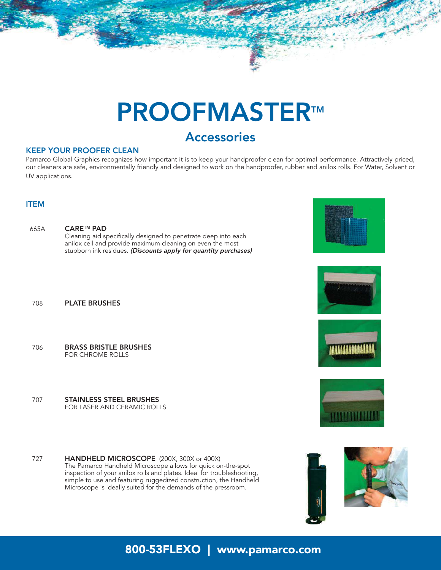## **Accessories**

### KEEP YOUR PROOFER CLEAN

708 PLATE BRUSHES

706 BRASS BRISTLE BRUSHES FOR CHROME ROLLS

707 STAINLESS STEEL BRUSHES

FOR LASER AND CERAMIC ROLLS

Pamarco Global Graphics recognizes how important it is to keep your handproofer clean for optimal performance. Attractively priced, our cleaners are safe, environmentally friendly and designed to work on the handproofer, rubber and anilox rolls. For Water, Solvent or UV applications.

### ITEM

665A CARETM PAD Cleaning aid specifically designed to penetrate deep into each anilox cell and provide maximum cleaning on even the most stubborn ink residues. (Discounts apply for quantity purchases)







727 **HANDHELD MICROSCOPE** (200X, 300X or 400X) The Pamarco Handheld Microscope allows for quick on-the-spot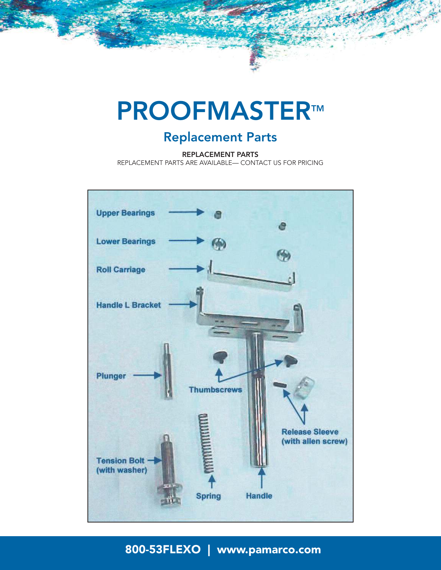## Replacement Parts

REPLACEMENT PARTS

REPLACEMENT PARTS ARE AVAILABLE— CONTACT US FOR PRICING

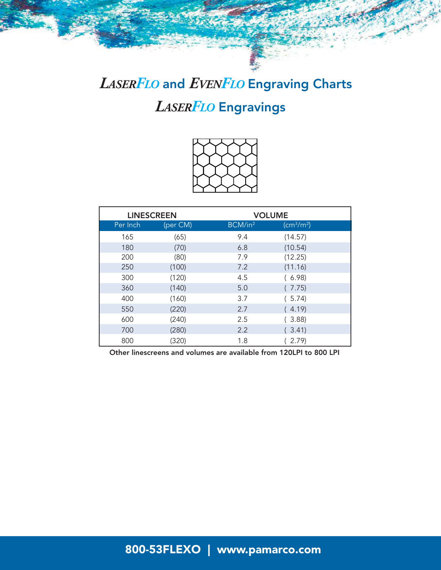# *LASERFLO* Engravings *LASERFLO* and *EVENFLO* Engraving Charts



|          | <b>LINESCREEN</b> | <b>VOLUME</b>       |                                    |  |
|----------|-------------------|---------------------|------------------------------------|--|
| Per Inch | (per CM)          | BCM/in <sup>2</sup> | (cm <sup>3</sup> /m <sup>2</sup> ) |  |
| 165      | (65)              | 9.4                 | (14.57)                            |  |
| 180      | (70)              | 6.8                 | (10.54)                            |  |
| 200      | (80)              | 7.9                 | (12.25)                            |  |
| 250      | (100)             | 7.2                 | (11.16)                            |  |
| 300      | (120)             | 4.5                 | (6.98)                             |  |
| 360      | (140)             | 5.0                 | (7.75)                             |  |
| 400      | (160)             | 3.7                 | (5.74)                             |  |
| 550      | (220)             | 2.7                 | (4.19)                             |  |
| 600      | (240)             | 2.5                 | (3.88)                             |  |
| 700      | (280)             | 2.2                 | (3.41)                             |  |
| 800      | (320)             | 1.8                 | 2.79                               |  |

Other linescreens and volumes are available from 120LPI to 800 LPI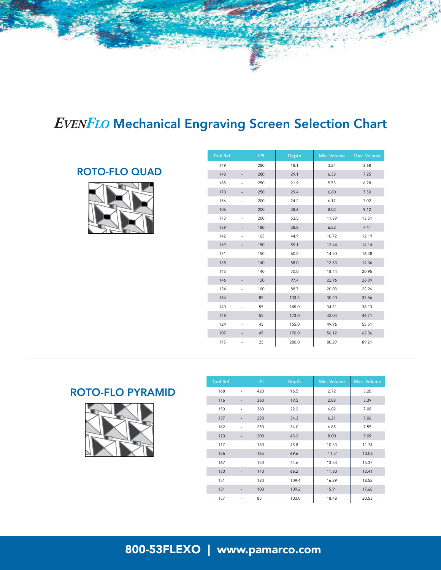## *EVENFLO* Mechanical Engraving Screen Selection Chart

## ROTO-FLO QUAD



| Tool Ref. |                              | <b>LPI</b> | Depth | Min. Volume | Max. Volume |
|-----------|------------------------------|------------|-------|-------------|-------------|
| 149       | $\overline{a}$               | 280        | 18.1  | 3.24        | 3.68        |
| 148       |                              | 280        | 29.1  | 6.38        | 7.25        |
| 165       | $\frac{1}{2}$                | 250        | 21.9  | 5.53        | 6.28        |
| 170       | $\frac{1}{2}$                | 250        | 29.4  | 6.60        | 7.50        |
| 156       | ÷                            | 200        | 24.2  | 6.17        | 7.02        |
| 106       |                              | 200        | 38.6  | 8.02        | 9.12        |
| 173       | ÷                            | 200        | 53.5  | 11.89       | 13.51       |
| 139       | -                            | 180        | 38.8  | 6.52        | 7.41        |
| 142       | $\overline{a}$               | 165        | 44.9  | 10.72       | 12.19       |
| 169       |                              | 150        | 59.1  | 12.44       | 14.14       |
| 171       | ÷                            | 150        | 60.2  | 14.50       | 16.48       |
| 138       | $\overline{\phantom{0}}$     | 140        | 58.0  | 12.63       | 14.36       |
| 143       | ÷                            | 140        | 70.0  | 18.44       | 20.95       |
| 146       |                              | 120        | 97.4  | 22.96       | 26.09       |
| 134       | $\overline{a}$               | 100        | 88.7  | 20.03       | 22.26       |
| 164       |                              | 85         | 133.3 | 30.20       | 33.56       |
| 140       | -                            | 55         | 145.0 | 34.31       | 38.13       |
| 148       | $\qquad \qquad \blacksquare$ | 55         | 173.0 | 42.04       | 46.71       |
| 124       | $\frac{1}{2}$                | 45         | 155.0 | 49.96       | 55.51       |
| 107       | $\frac{1}{2}$                | 45         | 170.0 | 56.12       | 62.36       |
| 175       |                              | 25         | 280.0 | 80.29       | 89.21       |

### ROTO-FLO PYRAMID



| <b>Tool Ref.</b> |    | <b>LPI</b> | Depth | Min. Volume | Max. Volume |
|------------------|----|------------|-------|-------------|-------------|
| 168              |    | 420        | 16.5  | 2.72        | 3.20        |
| 116              |    | 360        | 19.5  | 2.88        | 3.39        |
| 150              |    | 360        | 22.2  | 6.02        | 7.08        |
| 137              |    | 280        | 34.3  | 6.21        | 7.06        |
| 162              |    | 250        | 34.0  | 6.65        | 7.55        |
| 120              |    | 200        | 43.2  | 8.00        | 9.09        |
| 117              |    | 180        | 45.8  | 10.33       | 11.74       |
| 126              |    | 165        | 69.6  | 11.51       | 13.08       |
| 167              |    | 150        | 74.6  | 13.53       | 15.37       |
| 130              |    | 140        | 66.2  | 11.80       | 13.41       |
| 151              |    | 120        | 109.4 | 16.29       | 18.52       |
| 131              |    | 100        | 109.2 | 15.91       | 17.68       |
| 157              | ÷, | 85         | 103.0 | 18.48       | 20.53       |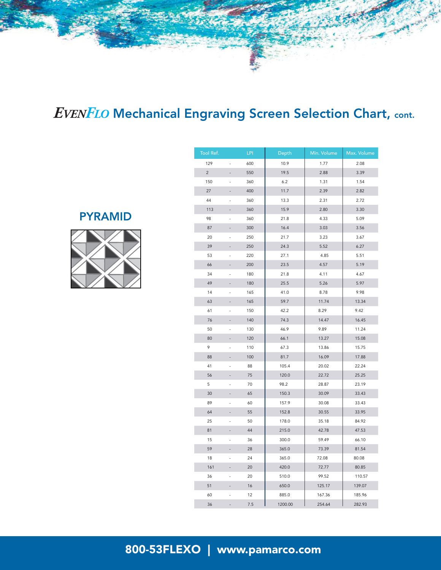# *EVENFLO* Mechanical Engraving Screen Selection Chart, cont.

## PYRAMID



| Tool Ref.      |                | LPI | Depth   | Min. Volume | Max. Volume |
|----------------|----------------|-----|---------|-------------|-------------|
| 129            |                | 600 | 10.9    | 1.77        | 2.08        |
| $\overline{c}$ |                | 550 | 19.5    | 2.88        | 3.39        |
| 150            |                | 360 | 6.2     | 1.31        | 1.54        |
| 27             | $\overline{a}$ | 400 | 11.7    | 2.39        | 2.82        |
| 44             | $\overline{a}$ | 360 | 13.3    | 2.31        | 2.72        |
| 113            |                | 360 | 15.9    | 2.80        | 3.30        |
| 98             | L              | 360 | 21.8    | 4.33        | 5.09        |
| 87             |                | 300 | 16.4    | 3.03        | 3.56        |
| 20             | L,             | 250 | 21.7    | 3.23        | 3.67        |
| 39             |                | 250 | 24.3    | 5.52        | 6.27        |
| 53             | L,             | 220 | 27.1    | 4.85        | 5.51        |
| 66             |                | 200 | 23.5    | 4.57        | 5.19        |
| 34             |                | 180 | 21.8    | 4.11        | 4.67        |
| 49             |                | 180 | 25.5    | 5.26        | 5.97        |
| 14             |                | 165 | 41.0    | 8.78        | 9.98        |
| 63             |                | 165 | 59.7    | 11.74       | 13.34       |
| 61             | L              | 150 | 42.2    | 8.29        | 9.42        |
| 76             |                | 140 | 74.3    | 14.47       | 16.45       |
| 50             | $\overline{a}$ | 130 | 46.9    | 9.89        | 11.24       |
| 80             |                | 120 | 66.1    | 13.27       | 15.08       |
| 9              |                | 110 | 67.3    | 13.86       | 15.75       |
| 88             | $\overline{a}$ | 100 | 81.7    | 16.09       | 17.88       |
| 41             |                | 88  | 105.4   | 20.02       | 22.24       |
| 56             | i,             | 75  | 120.0   | 22.72       | 25.25       |
| 5              | $\overline{a}$ | 70  | 98.2    | 28.87       | 23.19       |
| 30             |                | 65  | 150.3   | 30.09       | 33.43       |
| 89             | $\overline{a}$ | 60  | 157.9   | 30.08       | 33.43       |
| 64             |                | 55  | 152.8   | 30.55       | 33.95       |
| 25             | $\overline{a}$ | 50  | 178.0   | 35.18       | 84.92       |
| 81             |                | 44  | 215.0   | 42.78       | 47.53       |
| 15             |                | 36  | 300.0   | 59.49       | 66.10       |
| 59             |                | 28  | 365.0   | 73.39       | 81.54       |
| 18             | Ĭ.             | 24  | 365.0   | 72.08       | 80.08       |
| 161            | L,             | 20  | 420.0   | 72.77       | 80.85       |
| 36             |                | 20  | 510.0   | 99.52       | 110.57      |
| 51             |                | 16  | 650.0   | 125.17      | 139.07      |
| 60             |                | 12  | 885.0   | 167.36      | 185.96      |
| 36             |                | 7.5 | 1200.00 | 254.64      | 282.93      |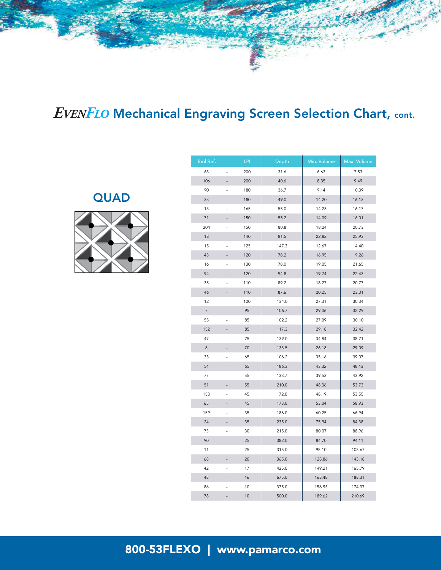# *EVENFLO* Mechanical Engraving Screen Selection Chart, cont.

**QUAD** 



| Tool Ref.      |                | <b>LPI</b> | Depth | Min. Volume | Max. Volume |
|----------------|----------------|------------|-------|-------------|-------------|
| 63             |                | 200        | 31.6  | 6.63        | 7.53        |
| 106            |                | 200        | 40.6  | 8.35        | 9.49        |
| 90             | L,             | 180        | 36.7  | 9.14        | 10.39       |
| 33             |                | 180        | 49.0  | 14.20       | 16.13       |
| 13             |                | 165        | 55.0  | 14.23       | 16.17       |
| 71             |                | 150        | 55.2  | 14.09       | 16.01       |
| 204            | L,             | 150        | 80.8  | 18.24       | 20.73       |
| 18             |                | 140        | 81.5  | 22.82       | 25.93       |
| 15             | L.             | 125        | 147.3 | 12.67       | 14.40       |
| 43             |                | 120        | 78.2  | 16.95       | 19.26       |
| 16             | ÷              | 130        | 78.0  | 19.05       | 21.65       |
| 94             |                | 120        | 94.8  | 19.74       | 22.43       |
| 35             | L,             | 110        | 89.2  | 18.27       | 20.77       |
| 46             |                | 110        | 87.6  | 20.25       | 23.01       |
| 12             | L,             | 100        | 134.0 | 27.31       | 30.34       |
| $\overline{7}$ |                | 95         | 106.7 | 29.06       | 32.29       |
| 55             | L,             | 85         | 102.2 | 27.09       | 30.10       |
| 152            |                | 85         | 117.3 | 29.18       | 32.42       |
| 47             | L,             | 75         | 139.0 | 34.84       | 38.71       |
| 8              |                | 70         | 133.5 | 26.18       | 29.09       |
| 33             |                | 65         | 106.2 | 35.16       | 39.07       |
| 54             |                | 65         | 186.3 | 43.32       | 48.13       |
| 77             |                | 55         | 133.7 | 39.53       | 43.92       |
| 51             |                | 55         | 210.0 | 48.36       | 53.73       |
| 153            | L,             | 45         | 172.0 | 48.19       | 53.55       |
| 65             |                | 45         | 173.0 | 53.04       | 58.93       |
| 159            |                | 35         | 186.0 | 60.25       | 66.94       |
| 24             |                | 35         | 235.0 | 75.94       | 84.38       |
| 73             |                | 30         | 215.0 | 80.07       | 88.96       |
| 90             |                | 25         | 382.0 | 84.70       | 94.11       |
| 11             | L,             | 25         | 315.0 | 95.10       | 105.67      |
| 68             |                | 20         | 365.0 | 128.86      | 143.18      |
| 42             |                | 17         | 425.0 | 149.21      | 165.79      |
| 48             |                | 16         | 675.0 | 168.48      | 188.31      |
| 86             |                | 10         | 375.0 | 156.93      | 174.37      |
| 78             | $\overline{a}$ | 10         | 500.0 | 189.62      | 210.69      |